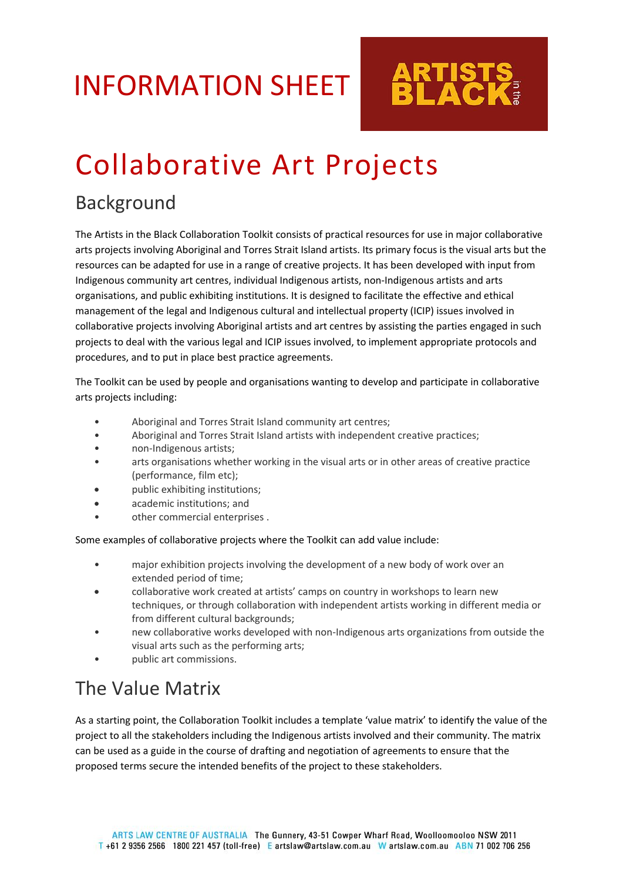## INFORMATION SHEET

# Collaborative Art Projects

## Background

The Artists in the Black Collaboration Toolkit consists of practical resources for use in major collaborative arts projects involving Aboriginal and Torres Strait Island artists. Its primary focus is the visual arts but the resources can be adapted for use in a range of creative projects. It has been developed with input from Indigenous community art centres, individual Indigenous artists, non-Indigenous artists and arts organisations, and public exhibiting institutions. It is designed to facilitate the effective and ethical management of the legal and Indigenous cultural and intellectual property (ICIP) issues involved in collaborative projects involving Aboriginal artists and art centres by assisting the parties engaged in such projects to deal with the various legal and ICIP issues involved, to implement appropriate protocols and procedures, and to put in place best practice agreements.

The Toolkit can be used by people and organisations wanting to develop and participate in collaborative arts projects including:

- Aboriginal and Torres Strait Island community art centres;
- Aboriginal and Torres Strait Island artists with independent creative practices;
- non-Indigenous artists;
- arts organisations whether working in the visual arts or in other areas of creative practice (performance, film etc);
- public exhibiting institutions;
- academic institutions; and
- other commercial enterprises .

Some examples of collaborative projects where the Toolkit can add value include:

- major exhibition projects involving the development of a new body of work over an extended period of time;
- collaborative work created at artists' camps on country in workshops to learn new techniques, or through collaboration with independent artists working in different media or from different cultural backgrounds;
- new collaborative works developed with non-Indigenous arts organizations from outside the visual arts such as the performing arts;
- public art commissions.

## The Value Matrix

As a starting point, the Collaboration Toolkit includes a template 'value matrix' to identify the value of the project to all the stakeholders including the Indigenous artists involved and their community. The matrix can be used as a guide in the course of drafting and negotiation of agreements to ensure that the proposed terms secure the intended benefits of the project to these stakeholders.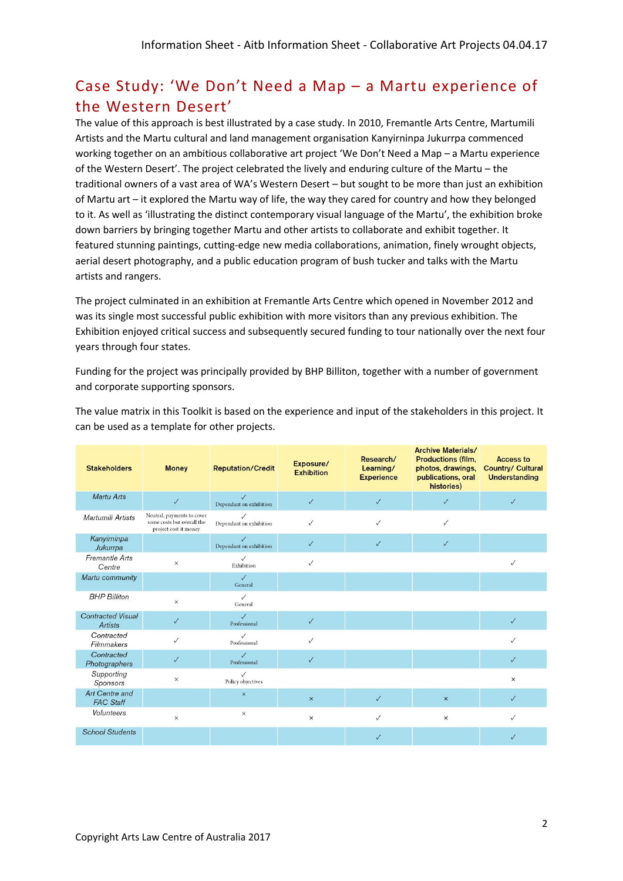## Case Study: 'We Don't Need a Map – a Martu experience of the Western Desert'

The value of this approach is best illustrated by a case study. In 2010, Fremantle Arts Centre, Martumili Artists and the Martu cultural and land management organisation Kanyirninpa Jukurrpa commenced working together on an ambitious collaborative art project 'We Don't Need a Map – a Martu experience of the Western Desert'. The project celebrated the lively and enduring culture of the Martu – the traditional owners of a vast area of WA's Western Desert – but sought to be more than just an exhibition of Martu art – it explored the Martu way of life, the way they cared for country and how they belonged to it. As well as 'illustrating the distinct contemporary visual language of the Martu', the exhibition broke down barriers by bringing together Martu and other artists to collaborate and exhibit together. It featured stunning paintings, cutting-edge new media collaborations, animation, finely wrought objects, aerial desert photography, and a public education program of bush tucker and talks with the Martu artists and rangers.

The project culminated in an exhibition at Fremantle Arts Centre which opened in November 2012 and was its single most successful public exhibition with more visitors than any previous exhibition. The Exhibition enjoyed critical success and subsequently secured funding to tour nationally over the next four years through four states.

Funding for the project was principally provided by BHP Billiton, together with a number of government and corporate supporting sponsors.

The value matrix in this Toolkit is based on the experience and input of the stakeholders in this project. It can be used as a template for other projects.

| <b>Stakeholders</b>                        | <b>Money</b>                                                                      | <b>Reputation/Credit</b>                | Exposure/<br><b>Exhibition</b> | Research/<br>Learning/<br><b>Experience</b> | <b>Archive Materials/</b><br><b>Productions (film,</b><br>photos, drawings,<br>publications, oral<br>histories) | <b>Access to</b><br><b>Country/ Cultural</b><br><b>Understanding</b> |
|--------------------------------------------|-----------------------------------------------------------------------------------|-----------------------------------------|--------------------------------|---------------------------------------------|-----------------------------------------------------------------------------------------------------------------|----------------------------------------------------------------------|
| Martu Arts                                 | $\checkmark$                                                                      | $\sqrt{}$<br>Dependant on exhibition    | $\checkmark$                   | $\checkmark$                                | $\checkmark$                                                                                                    | $\checkmark$                                                         |
| Martumili Artists                          | Neutral, payments to cover<br>some costs but overall the<br>project cost it money | Dependant on exhibition                 | $\checkmark$                   | $\checkmark$                                | $\checkmark$                                                                                                    |                                                                      |
| Kanyirninpa<br>Jukurrpa                    |                                                                                   | $\checkmark$<br>Dependant on exhibition | $\checkmark$                   | $\checkmark$                                | $\checkmark$                                                                                                    |                                                                      |
| <b>Fremantle Arts</b><br>Centre            | $\times$                                                                          | $\checkmark$<br>Exhibition              | $\checkmark$                   |                                             |                                                                                                                 | $\checkmark$                                                         |
| Martu community                            |                                                                                   | $\sqrt{}$<br>General                    |                                |                                             |                                                                                                                 |                                                                      |
| <b>BHP Billiton</b>                        | $\times$                                                                          | $\sqrt{2}$<br>General                   |                                |                                             |                                                                                                                 |                                                                      |
| <b>Contracted Visual</b><br><b>Artists</b> | $\checkmark$                                                                      | $\checkmark$<br>Professional            | $\checkmark$                   |                                             |                                                                                                                 | $\checkmark$                                                         |
| Contracted<br>Filmmakers                   | $\checkmark$                                                                      | Professional                            | $\checkmark$                   |                                             |                                                                                                                 | $\checkmark$                                                         |
| Contracted<br>Photographers                | $\checkmark$                                                                      | $\checkmark$<br>Professional            | $\checkmark$                   |                                             |                                                                                                                 | $\checkmark$                                                         |
| Supporting<br>Sponsors                     | $\times$                                                                          | Policy objectives                       |                                |                                             |                                                                                                                 | $\boldsymbol{\mathsf{x}}$                                            |
| Art Centre and<br><b>FAC Staff</b>         |                                                                                   | $\times$                                | $\mathsf{x}$                   | $\checkmark$                                | $\times$                                                                                                        | $\sqrt{}$                                                            |
| Volunteers                                 | $\times$                                                                          | $\times$                                | $\boldsymbol{\times}$          | $\checkmark$                                | $\boldsymbol{\times}$                                                                                           | $\checkmark$                                                         |
| <b>School Students</b>                     |                                                                                   |                                         |                                | $\checkmark$                                |                                                                                                                 | $\checkmark$                                                         |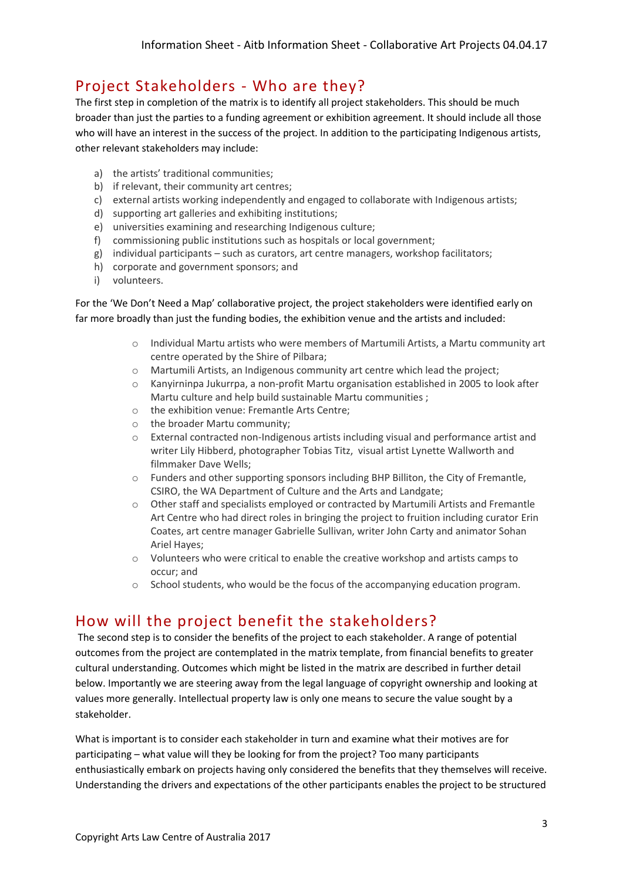## Project Stakeholders - Who are they?

The first step in completion of the matrix is to identify all project stakeholders. This should be much broader than just the parties to a funding agreement or exhibition agreement. It should include all those who will have an interest in the success of the project. In addition to the participating Indigenous artists, other relevant stakeholders may include:

- a) the artists' traditional communities;
- b) if relevant, their community art centres;
- c) external artists working independently and engaged to collaborate with Indigenous artists;
- d) supporting art galleries and exhibiting institutions;
- e) universities examining and researching Indigenous culture;
- f) commissioning public institutions such as hospitals or local government;
- g) individual participants such as curators, art centre managers, workshop facilitators;
- h) corporate and government sponsors; and
- i) volunteers.

For the 'We Don't Need a Map' collaborative project, the project stakeholders were identified early on far more broadly than just the funding bodies, the exhibition venue and the artists and included:

- o Individual Martu artists who were members of Martumili Artists, a Martu community art centre operated by the Shire of Pilbara;
- o Martumili Artists, an Indigenous community art centre which lead the project;
- o Kanyirninpa Jukurrpa, a non-profit Martu organisation established in 2005 to look after Martu culture and help build sustainable Martu communities ;
- o the exhibition venue: Fremantle Arts Centre;
- o the broader Martu community;
- $\circ$  External contracted non-Indigenous artists including visual and performance artist and writer Lily Hibberd, photographer Tobias Titz, visual artist Lynette Wallworth and filmmaker Dave Wells;
- $\circ$  Funders and other supporting sponsors including BHP Billiton, the City of Fremantle, CSIRO, the WA Department of Culture and the Arts and Landgate;
- o Other staff and specialists employed or contracted by Martumili Artists and Fremantle Art Centre who had direct roles in bringing the project to fruition including curator Erin Coates, art centre manager Gabrielle Sullivan, writer John Carty and animator Sohan Ariel Hayes;
- o Volunteers who were critical to enable the creative workshop and artists camps to occur; and
- o School students, who would be the focus of the accompanying education program.

### How will the project benefit the stakeholders?

The second step is to consider the benefits of the project to each stakeholder. A range of potential outcomes from the project are contemplated in the matrix template, from financial benefits to greater cultural understanding. Outcomes which might be listed in the matrix are described in further detail below. Importantly we are steering away from the legal language of copyright ownership and looking at values more generally. Intellectual property law is only one means to secure the value sought by a stakeholder.

What is important is to consider each stakeholder in turn and examine what their motives are for participating – what value will they be looking for from the project? Too many participants enthusiastically embark on projects having only considered the benefits that they themselves will receive. Understanding the drivers and expectations of the other participants enables the project to be structured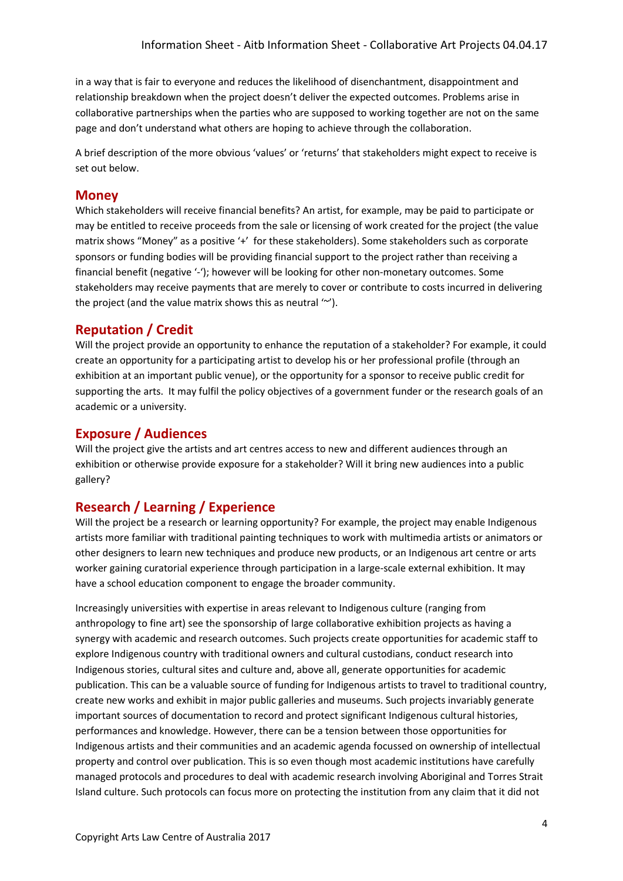in a way that is fair to everyone and reduces the likelihood of disenchantment, disappointment and relationship breakdown when the project doesn't deliver the expected outcomes. Problems arise in collaborative partnerships when the parties who are supposed to working together are not on the same page and don't understand what others are hoping to achieve through the collaboration.

A brief description of the more obvious 'values' or 'returns' that stakeholders might expect to receive is set out below.

#### **Money**

Which stakeholders will receive financial benefits? An artist, for example, may be paid to participate or may be entitled to receive proceeds from the sale or licensing of work created for the project (the value matrix shows "Money" as a positive '+' for these stakeholders). Some stakeholders such as corporate sponsors or funding bodies will be providing financial support to the project rather than receiving a financial benefit (negative '-'); however will be looking for other non-monetary outcomes. Some stakeholders may receive payments that are merely to cover or contribute to costs incurred in delivering the project (and the value matrix shows this as neutral '~').

#### **Reputation / Credit**

Will the project provide an opportunity to enhance the reputation of a stakeholder? For example, it could create an opportunity for a participating artist to develop his or her professional profile (through an exhibition at an important public venue), or the opportunity for a sponsor to receive public credit for supporting the arts. It may fulfil the policy objectives of a government funder or the research goals of an academic or a university.

#### **Exposure / Audiences**

Will the project give the artists and art centres access to new and different audiences through an exhibition or otherwise provide exposure for a stakeholder? Will it bring new audiences into a public gallery?

#### **Research / Learning / Experience**

Will the project be a research or learning opportunity? For example, the project may enable Indigenous artists more familiar with traditional painting techniques to work with multimedia artists or animators or other designers to learn new techniques and produce new products, or an Indigenous art centre or arts worker gaining curatorial experience through participation in a large-scale external exhibition. It may have a school education component to engage the broader community.

Increasingly universities with expertise in areas relevant to Indigenous culture (ranging from anthropology to fine art) see the sponsorship of large collaborative exhibition projects as having a synergy with academic and research outcomes. Such projects create opportunities for academic staff to explore Indigenous country with traditional owners and cultural custodians, conduct research into Indigenous stories, cultural sites and culture and, above all, generate opportunities for academic publication. This can be a valuable source of funding for Indigenous artists to travel to traditional country, create new works and exhibit in major public galleries and museums. Such projects invariably generate important sources of documentation to record and protect significant Indigenous cultural histories, performances and knowledge. However, there can be a tension between those opportunities for Indigenous artists and their communities and an academic agenda focussed on ownership of intellectual property and control over publication. This is so even though most academic institutions have carefully managed protocols and procedures to deal with academic research involving Aboriginal and Torres Strait Island culture. Such protocols can focus more on protecting the institution from any claim that it did not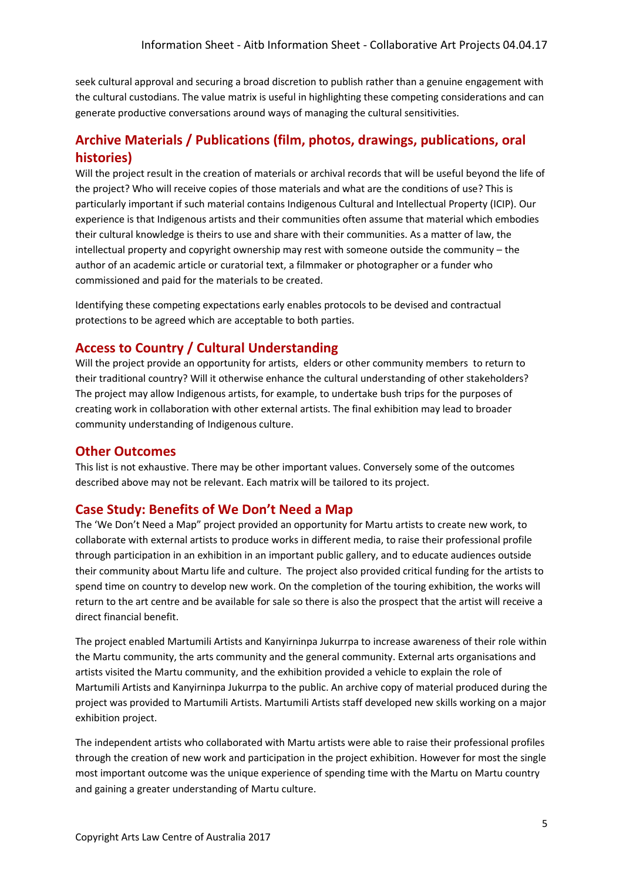seek cultural approval and securing a broad discretion to publish rather than a genuine engagement with the cultural custodians. The value matrix is useful in highlighting these competing considerations and can generate productive conversations around ways of managing the cultural sensitivities.

#### **Archive Materials / Publications (film, photos, drawings, publications, oral histories)**

Will the project result in the creation of materials or archival records that will be useful beyond the life of the project? Who will receive copies of those materials and what are the conditions of use? This is particularly important if such material contains Indigenous Cultural and Intellectual Property (ICIP). Our experience is that Indigenous artists and their communities often assume that material which embodies their cultural knowledge is theirs to use and share with their communities. As a matter of law, the intellectual property and copyright ownership may rest with someone outside the community – the author of an academic article or curatorial text, a filmmaker or photographer or a funder who commissioned and paid for the materials to be created.

Identifying these competing expectations early enables protocols to be devised and contractual protections to be agreed which are acceptable to both parties.

#### **Access to Country / Cultural Understanding**

Will the project provide an opportunity for artists, elders or other community members to return to their traditional country? Will it otherwise enhance the cultural understanding of other stakeholders? The project may allow Indigenous artists, for example, to undertake bush trips for the purposes of creating work in collaboration with other external artists. The final exhibition may lead to broader community understanding of Indigenous culture.

#### **Other Outcomes**

This list is not exhaustive. There may be other important values. Conversely some of the outcomes described above may not be relevant. Each matrix will be tailored to its project.

#### **Case Study: Benefits of We Don't Need a Map**

The 'We Don't Need a Map" project provided an opportunity for Martu artists to create new work, to collaborate with external artists to produce works in different media, to raise their professional profile through participation in an exhibition in an important public gallery, and to educate audiences outside their community about Martu life and culture. The project also provided critical funding for the artists to spend time on country to develop new work. On the completion of the touring exhibition, the works will return to the art centre and be available for sale so there is also the prospect that the artist will receive a direct financial benefit.

The project enabled Martumili Artists and Kanyirninpa Jukurrpa to increase awareness of their role within the Martu community, the arts community and the general community. External arts organisations and artists visited the Martu community, and the exhibition provided a vehicle to explain the role of Martumili Artists and Kanyirninpa Jukurrpa to the public. An archive copy of material produced during the project was provided to Martumili Artists. Martumili Artists staff developed new skills working on a major exhibition project.

The independent artists who collaborated with Martu artists were able to raise their professional profiles through the creation of new work and participation in the project exhibition. However for most the single most important outcome was the unique experience of spending time with the Martu on Martu country and gaining a greater understanding of Martu culture.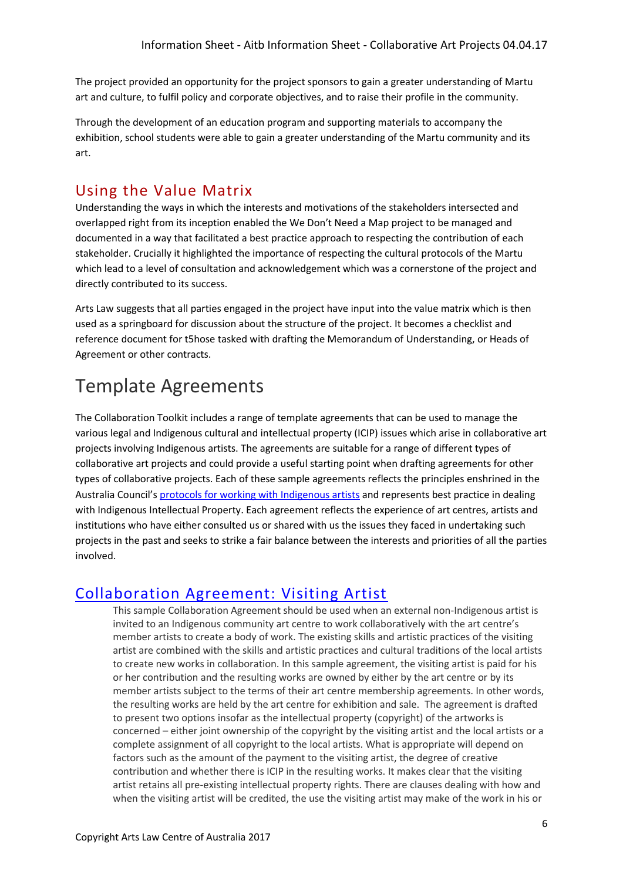The project provided an opportunity for the project sponsors to gain a greater understanding of Martu art and culture, to fulfil policy and corporate objectives, and to raise their profile in the community.

Through the development of an education program and supporting materials to accompany the exhibition, school students were able to gain a greater understanding of the Martu community and its art.

### Using the Value Matrix

Understanding the ways in which the interests and motivations of the stakeholders intersected and overlapped right from its inception enabled the We Don't Need a Map project to be managed and documented in a way that facilitated a best practice approach to respecting the contribution of each stakeholder. Crucially it highlighted the importance of respecting the cultural protocols of the Martu which lead to a level of consultation and acknowledgement which was a cornerstone of the project and directly contributed to its success.

Arts Law suggests that all parties engaged in the project have input into the value matrix which is then used as a springboard for discussion about the structure of the project. It becomes a checklist and reference document for t5hose tasked with drafting the Memorandum of Understanding, or Heads of Agreement or other contracts.

## Template Agreements

The Collaboration Toolkit includes a range of template agreements that can be used to manage the various legal and Indigenous cultural and intellectual property (ICIP) issues which arise in collaborative art projects involving Indigenous artists. The agreements are suitable for a range of different types of collaborative art projects and could provide a useful starting point when drafting agreements for other types of collaborative projects. Each of these sample agreements reflects the principles enshrined in the Australia Council's [protocols for working with Indigenous artists](http://www.australiacouncil.gov.au/about/protocols-for-working-with-indigenous-artists/) and represents best practice in dealing with Indigenous Intellectual Property. Each agreement reflects the experience of art centres, artists and institutions who have either consulted us or shared with us the issues they faced in undertaking such projects in the past and seeks to strike a fair balance between the interests and priorities of all the parties involved.

### [Collaboration Agreement: Visiting Artist](http://www.artslaw.com.au/sample-agreements/sample-agreement/collaboration-agreement-visiting-artist-artists-in-the-black-resource/)

This sample Collaboration Agreement should be used when an external non-Indigenous artist is invited to an Indigenous community art centre to work collaboratively with the art centre's member artists to create a body of work. The existing skills and artistic practices of the visiting artist are combined with the skills and artistic practices and cultural traditions of the local artists to create new works in collaboration. In this sample agreement, the visiting artist is paid for his or her contribution and the resulting works are owned by either by the art centre or by its member artists subject to the terms of their art centre membership agreements. In other words, the resulting works are held by the art centre for exhibition and sale. The agreement is drafted to present two options insofar as the intellectual property (copyright) of the artworks is concerned – either joint ownership of the copyright by the visiting artist and the local artists or a complete assignment of all copyright to the local artists. What is appropriate will depend on factors such as the amount of the payment to the visiting artist, the degree of creative contribution and whether there is ICIP in the resulting works. It makes clear that the visiting artist retains all pre-existing intellectual property rights. There are clauses dealing with how and when the visiting artist will be credited, the use the visiting artist may make of the work in his or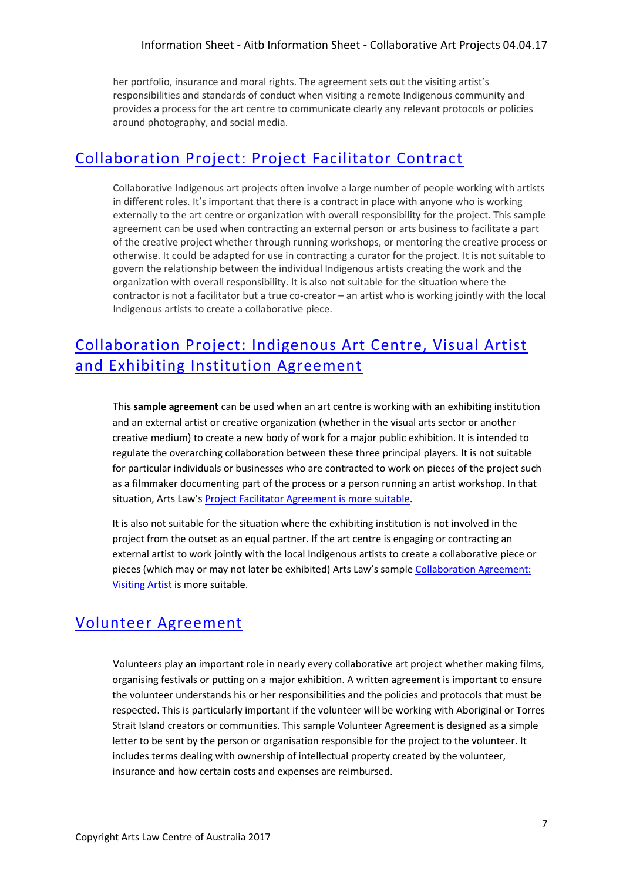her portfolio, insurance and moral rights. The agreement sets out the visiting artist's responsibilities and standards of conduct when visiting a remote Indigenous community and provides a process for the art centre to communicate clearly any relevant protocols or policies around photography, and social media.

## [Collaboration Project: Project Facilitator Contract](http://www.artslaw.com.au/sample-agreements/sample-agreement/collaboration-project-facilitator-agreement/)

Collaborative Indigenous art projects often involve a large number of people working with artists in different roles. It's important that there is a contract in place with anyone who is working externally to the art centre or organization with overall responsibility for the project. This sample agreement can be used when contracting an external person or arts business to facilitate a part of the creative project whether through running workshops, or mentoring the creative process or otherwise. It could be adapted for use in contracting a curator for the project. It is not suitable to govern the relationship between the individual Indigenous artists creating the work and the organization with overall responsibility. It is also not suitable for the situation where the contractor is not a facilitator but a true co-creator – an artist who is working jointly with the local Indigenous artists to create a collaborative piece.

## [Collaboration Project: Indigenous Art Centre, Visual Artist](http://www.artslaw.com.au/sample-agreements/sample-agreement/collaboration-agreement-indigenous-art-centre-artist-and-exhibiting-institu)  [and Exhibiting Institution Agreement](http://www.artslaw.com.au/sample-agreements/sample-agreement/collaboration-agreement-indigenous-art-centre-artist-and-exhibiting-institu)

This **sample agreement** can be used when an art centre is working with an exhibiting institution and an external artist or creative organization (whether in the visual arts sector or another creative medium) to create a new body of work for a major public exhibition. It is intended to regulate the overarching collaboration between these three principal players. It is not suitable for particular individuals or businesses who are contracted to work on pieces of the project such as a filmmaker documenting part of the process or a person running an artist workshop. In that situation, Arts Law's [Project Facilitator Agreement](http://www.artslaw.com.au/sample-agreements/sample-agreement/collaboration-project-facilitator-agreement/) is more suitable.

It is also not suitable for the situation where the exhibiting institution is not involved in the project from the outset as an equal partner. If the art centre is engaging or contracting an external artist to work jointly with the local Indigenous artists to create a collaborative piece or pieces (which may or may not later be exhibited) Arts Law's sample [Collaboration Agreement:](http://www.artslaw.com.au/sample-agreements/sample-agreement/collaboration-agreement-visiting-artist-artists-in-the-black-resource)  [Visiting Artist](http://www.artslaw.com.au/sample-agreements/sample-agreement/collaboration-agreement-visiting-artist-artists-in-the-black-resource) is more suitable.

## [Volunteer Agreement](https://www.artslaw.com.au/sample-agreements/sample-agreement/collaboration-agreement-volunteer-agreement-artists-in-the-black)

Volunteers play an important role in nearly every collaborative art project whether making films, organising festivals or putting on a major exhibition. A written agreement is important to ensure the volunteer understands his or her responsibilities and the policies and protocols that must be respected. This is particularly important if the volunteer will be working with Aboriginal or Torres Strait Island creators or communities. This sample Volunteer Agreement is designed as a simple letter to be sent by the person or organisation responsible for the project to the volunteer. It includes terms dealing with ownership of intellectual property created by the volunteer, insurance and how certain costs and expenses are reimbursed.